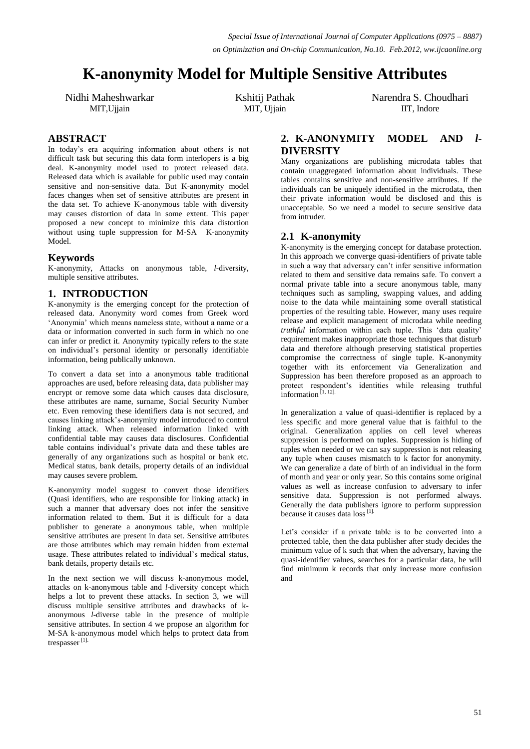# **K-anonymity Model for Multiple Sensitive Attributes**

Nidhi Maheshwarkar MIT,Ujjain

Kshitij Pathak MIT, Ujjain

Narendra S. Choudhari IIT, Indore

# **ABSTRACT**

In today"s era acquiring information about others is not difficult task but securing this data form interlopers is a big deal. K-anonymity model used to protect released data. Released data which is available for public used may contain sensitive and non-sensitive data. But K-anonymity model faces changes when set of sensitive attributes are present in the data set. To achieve K-anonymous table with diversity may causes distortion of data in some extent. This paper proposed a new concept to minimize this data distortion without using tuple suppression for M-SA K-anonymity Model.

## **Keywords**

K-anonymity, Attacks on anonymous table, *l-*diversity, multiple sensitive attributes.

# **1. INTRODUCTION**

K-anonymity is the emerging concept for the protection of released data. Anonymity word comes from Greek word "Anonymia" which means nameless state, without a name or a data or information converted in such form in which no one can infer or predict it. Anonymity typically refers to the state on individual"s personal identity or personally identifiable information, being publically unknown.

To convert a data set into a anonymous table traditional approaches are used, before releasing data, data publisher may encrypt or remove some data which causes data disclosure, these attributes are name, surname, Social Security Number etc. Even removing these identifiers data is not secured, and causes linking attack"s-anonymity model introduced to control linking attack. When released information linked with confidential table may causes data disclosures. Confidential table contains individual"s private data and these tables are generally of any organizations such as hospital or bank etc. Medical status, bank details, property details of an individual may causes severe problem.

K-anonymity model suggest to convert those identifiers (Quasi identifiers, who are responsible for linking attack) in such a manner that adversary does not infer the sensitive information related to them. But it is difficult for a data publisher to generate a anonymous table, when multiple sensitive attributes are present in data set. Sensitive attributes are those attributes which may remain hidden from external usage. These attributes related to individual's medical status, bank details, property details etc.

In the next section we will discuss k-anonymous model, attacks on k-anonymous table and *l*-diversity concept which helps a lot to prevent these attacks. In section 3, we will discuss multiple sensitive attributes and drawbacks of kanonymous *l*-diverse table in the presence of multiple sensitive attributes. In section 4 we propose an algorithm for M-SA k-anonymous model which helps to protect data from trespasser<sup>[1]</sup>.

# **2. K-ANONYMITY MODEL AND** *l***-DIVERSITY**

Many organizations are publishing microdata tables that contain unaggregated information about individuals. These tables contains sensitive and non-sensitive attributes. If the individuals can be uniquely identified in the microdata, then their private information would be disclosed and this is unacceptable. So we need a model to secure sensitive data from intruder.

## **2.1 K-anonymity**

K-anonymity is the emerging concept for database protection. In this approach we converge quasi-identifiers of private table in such a way that adversary can"t infer sensitive information related to them and sensitive data remains safe. To convert a normal private table into a secure anonymous table, many techniques such as sampling, swapping values, and adding noise to the data while maintaining some overall statistical properties of the resulting table. However, many uses require release and explicit management of microdata while needing *truthful* information within each tuple. This 'data quality' requirement makes inappropriate those techniques that disturb data and therefore although preserving statistical properties compromise the correctness of single tuple. K-anonymity together with its enforcement via Generalization and Suppression has been therefore proposed as an approach to protect respondent"s identities while releasing truthful information  $[1, 12]$ .

In generalization a value of quasi-identifier is replaced by a less specific and more general value that is faithful to the original. Generalization applies on cell level whereas suppression is performed on tuples. Suppression is hiding of tuples when needed or we can say suppression is not releasing any tuple when causes mismatch to k factor for anonymity. We can generalize a date of birth of an individual in the form of month and year or only year. So this contains some original values as well as increase confusion to adversary to infer sensitive data. Suppression is not performed always. Generally the data publishers ignore to perform suppression because it causes data  $\log$ <sup>[1]</sup>.

Let's consider if a private table is to be converted into a protected table, then the data publisher after study decides the minimum value of k such that when the adversary, having the quasi-identifier values, searches for a particular data, he will find minimum k records that only increase more confusion and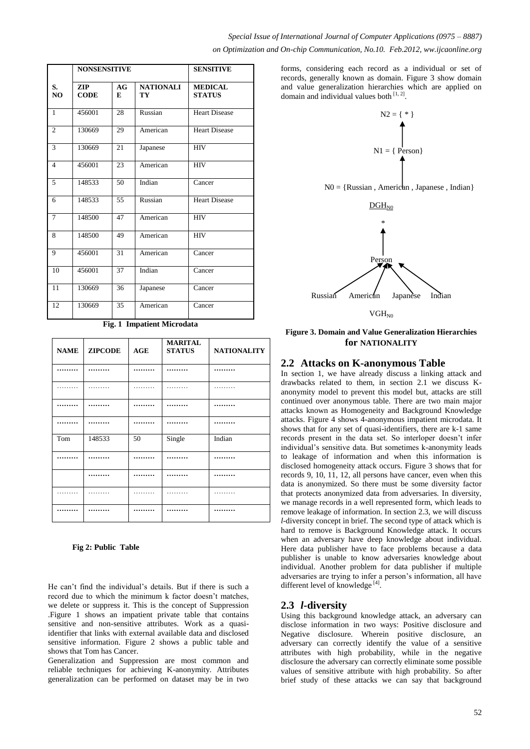|                      | <b>NONSENSITIVE</b> |         | <b>SENSITIVE</b>       |                                 |
|----------------------|---------------------|---------|------------------------|---------------------------------|
| S.<br>N <sub>O</sub> | ZIP<br><b>CODE</b>  | AG<br>E | <b>NATIONALI</b><br>TY | <b>MEDICAL</b><br><b>STATUS</b> |
| $\mathbf{1}$         | 456001              | 28      | Russian                | <b>Heart Disease</b>            |
| $\overline{2}$       | 130669              | 29      | American               | <b>Heart Disease</b>            |
| 3                    | 130669              | 21      | Japanese               | <b>HIV</b>                      |
| $\overline{4}$       | 456001              | 23      | American               | <b>HIV</b>                      |
| 5                    | 148533              | 50      | Indian                 | Cancer                          |
| 6                    | 148533              | 55      | Russian                | <b>Heart Disease</b>            |
| $\tau$               | 148500              | 47      | American               | <b>HIV</b>                      |
| 8                    | 148500              | 49      | American               | <b>HIV</b>                      |
| 9                    | 456001              | 31      | American               | Cancer                          |
| 10                   | 456001              | 37      | Indian                 | Cancer                          |
| 11                   | 130669              | 36      | Japanese               | Cancer                          |
| 12                   | 130669              | 35      | American               | Cancer                          |

*Special Issue of International Journal of Computer Applications (0975 – 8887) on Optimization and On-chip Communication, No.10. Feb.2012, ww.ijcaonline.org*

> records, generally known as domain. Figure 3 show domain and value generalization hierarchies which are applied on domain and individual values both  $[1, 2]$ .



 $NO = {Russian, American, Japanese, Indian}$ 



**Figure 3. Domain and Value Generalization Hierarchies for NATIONALITY**

#### **2.2 Attacks on K-anonymous Table**

In section 1, we have already discuss a linking attack and drawbacks related to them, in section 2.1 we discuss Kanonymity model to prevent this model but, attacks are still continued over anonymous table. There are two main major attacks known as Homogeneity and Background Knowledge attacks. Figure 4 shows 4-anonymous impatient microdata. It shows that for any set of quasi-identifiers, there are k-1 same records present in the data set. So interloper doesn"t infer individual"s sensitive data. But sometimes k-anonymity leads to leakage of information and when this information is disclosed homogeneity attack occurs. Figure 3 shows that for records 9, 10, 11, 12, all persons have cancer, even when this data is anonymized. So there must be some diversity factor that protects anonymized data from adversaries. In diversity, we manage records in a well represented form, which leads to remove leakage of information. In section 2.3, we will discuss *l*-diversity concept in brief. The second type of attack which is hard to remove is Background Knowledge attack. It occurs when an adversary have deep knowledge about individual. Here data publisher have to face problems because a data publisher is unable to know adversaries knowledge about individual. Another problem for data publisher if multiple adversaries are trying to infer a person"s information, all have different level of knowledge<sup>[4]</sup>.

#### **2.3** *l***-diversity**

Using this background knowledge attack, an adversary can disclose information in two ways: Positive disclosure and Negative disclosure. Wherein positive disclosure, an adversary can correctly identify the value of a sensitive attributes with high probability, while in the negative disclosure the adversary can correctly eliminate some possible values of sensitive attribute with high probability. So after brief study of these attacks we can say that background

**Fig. 1 Impatient Microdata**

| <b>NAME</b> | <b>ZIPCODE</b> | AGE | <b>MARITAL</b><br><b>STATUS</b> | <b>NATIONALITY</b> |
|-------------|----------------|-----|---------------------------------|--------------------|
|             |                | .   |                                 |                    |
| .           | .              | .   | .                               | .                  |
| .           |                |     |                                 |                    |
|             |                |     | .                               |                    |
| Tom         | 148533         | 50  | Single                          | Indian             |
| .           | .              | .   | .                               |                    |
|             |                |     |                                 |                    |
| .           | .              | .   | .                               | .                  |
|             |                |     |                                 |                    |

#### **Fig 2: Public Table**

He can"t find the individual"s details. But if there is such a record due to which the minimum k factor doesn"t matches, we delete or suppress it. This is the concept of Suppression .Figure 1 shows an impatient private table that contains sensitive and non-sensitive attributes. Work as a quasiidentifier that links with external available data and disclosed sensitive information. Figure 2 shows a public table and shows that Tom has Cancer.

Generalization and Suppression are most common and reliable techniques for achieving K-anonymity. Attributes generalization can be performed on dataset may be in two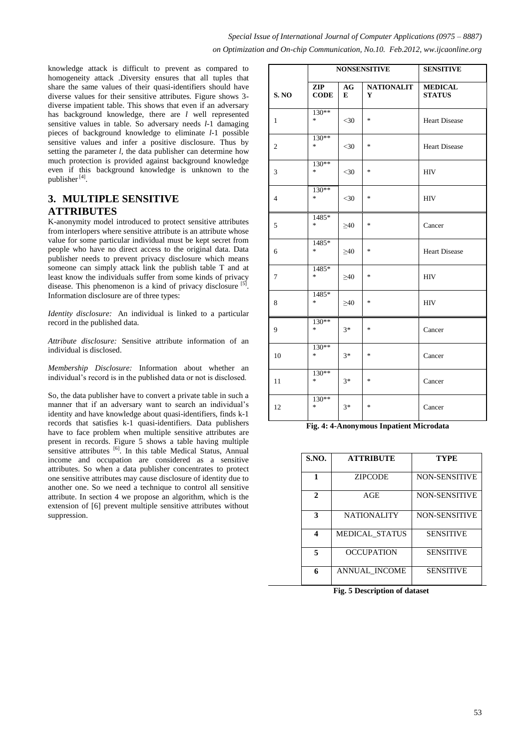knowledge attack is difficult to prevent as compared to homogeneity attack .Diversity ensures that all tuples that share the same values of their quasi-identifiers should have diverse values for their sensitive attributes. Figure shows 3 diverse impatient table. This shows that even if an adversary has background knowledge, there are *l* well represented sensitive values in table. So adversary needs *l*-1 damaging pieces of background knowledge to eliminate *l-*1 possible sensitive values and infer a positive disclosure. Thus by setting the parameter *l*, the data publisher can determine how much protection is provided against background knowledge even if this background knowledge is unknown to the publisher<sup>[4]</sup>.

# **3. MULTIPLE SENSITIVE ATTRIBUTES**

K-anonymity model introduced to protect sensitive attributes from interlopers where sensitive attribute is an attribute whose value for some particular individual must be kept secret from people who have no direct access to the original data. Data publisher needs to prevent privacy disclosure which means someone can simply attack link the publish table T and at least know the individuals suffer from some kinds of privacy disease. This phenomenon is a kind of privacy disclosure <sup>[5]</sup>. Information disclosure are of three types:

*Identity disclosure:* An individual is linked to a particular record in the published data.

*Attribute disclosure:* Sensitive attribute information of an individual is disclosed.

*Membership Disclosure:* Information about whether an individual"s record is in the published data or not is disclosed.

So, the data publisher have to convert a private table in such a manner that if an adversary want to search an individual's identity and have knowledge about quasi-identifiers, finds k-1 records that satisfies k-1 quasi-identifiers. Data publishers have to face problem when multiple sensitive attributes are present in records. Figure 5 shows a table having multiple sensitive attributes <sup>[6]</sup>. In this table Medical Status, Annual income and occupation are considered as a sensitive attributes. So when a data publisher concentrates to protect one sensitive attributes may cause disclosure of identity due to another one. So we need a technique to control all sensitive attribute. In section 4 we propose an algorithm, which is the extension of [6] prevent multiple sensitive attributes without suppression.

|                |                    | <b>NONSENSITIVE</b> |                        | <b>SENSITIVE</b>                |  |
|----------------|--------------------|---------------------|------------------------|---------------------------------|--|
| <b>S. NO</b>   | ZIP<br><b>CODE</b> | AG<br>E             | <b>NATIONALIT</b><br>Y | <b>MEDICAL</b><br><b>STATUS</b> |  |
| 1              | 130**<br>$\ast$    | $<$ 30              | $\ast$                 | <b>Heart Disease</b>            |  |
| $\mathbf{2}$   | 130**<br>$\ast$    | $<$ 30              | $\ast$                 | <b>Heart Disease</b>            |  |
| 3              | $130**$<br>$\ast$  | $<$ 30              | $\ast$                 | <b>HIV</b>                      |  |
| $\overline{4}$ | $130**$<br>$\ast$  | $<$ 30              | $\ast$                 | <b>HIV</b>                      |  |
| 5              | 1485*<br>$\ast$    | $\geq 40$           | $\ast$                 | Cancer                          |  |
| 6              | 1485*<br>$\ast$    | $\geq 40$           | $\ast$                 | <b>Heart Disease</b>            |  |
| $\overline{7}$ | 1485*<br>$*$       | $\geq 40$           | $\ast$                 | <b>HIV</b>                      |  |
| 8              | 1485*<br>*         | $\geq 40$           | $\ast$                 | <b>HIV</b>                      |  |
| 9              | 130**<br>$\ast$    | $3*$                | $\ast$                 | Cancer                          |  |
| 10             | $130**$<br>$\ast$  | $3*$                | $\ast$                 | Cancer                          |  |
| 11             | $130**$<br>$\ast$  | $3*$                | $\ast$                 | Cancer                          |  |
| 12             | $130**$<br>$\ast$  | $3*$                | $*$                    | Cancer                          |  |

| Fig. 4: 4-Anonymous Inpatient Microdata |  |
|-----------------------------------------|--|
|-----------------------------------------|--|

| S.NO.        | <b>ATTRIBUTE</b>      | TYPE                 |  |
|--------------|-----------------------|----------------------|--|
|              | <b>ZIPCODE</b>        | <b>NON-SENSITIVE</b> |  |
| $\mathbf{2}$ | AGE                   | <b>NON-SENSITIVE</b> |  |
| 3            | <b>NATIONALITY</b>    | <b>NON-SENSITIVE</b> |  |
| Δ            | <b>MEDICAL STATUS</b> | <b>SENSITIVE</b>     |  |
| 5            | <b>OCCUPATION</b>     | <b>SENSITIVE</b>     |  |
| 6            | <b>ANNUAL INCOME</b>  | <b>SENSITIVE</b>     |  |

**Fig. 5 Description of dataset**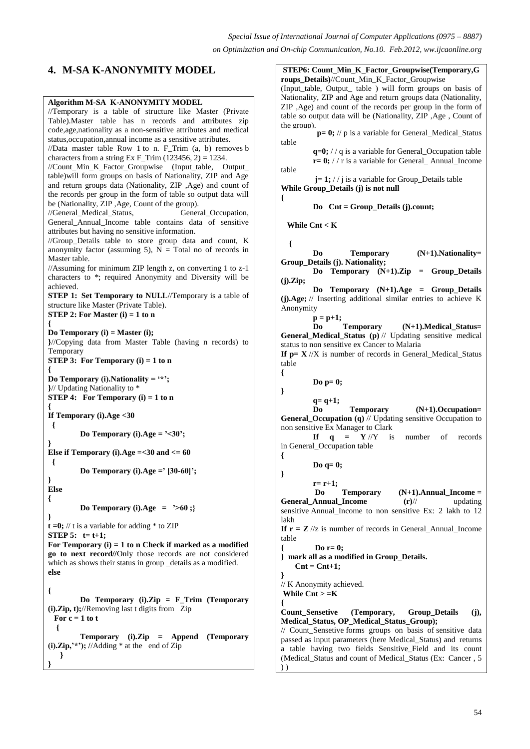# **4. M-SA K-ANONYMITY MODEL**

#### **Algorithm M-SA K-ANONYMITY MODEL**

//Temporary is a table of structure like Master (Private Table).Master table has n records and attributes zip code,age,nationality as a non-sensitive attributes and medical status,occupation,annual income as a sensitive attributes. //Data master table Row 1 to n. F\_Trim (a, b) removes b characters from a string Ex F\_Trim (123456, 2) = 1234. //Count\_Min\_K\_Factor\_Groupwise (Input\_table, Output\_ table)will form groups on basis of Nationality, ZIP and Age and return groups data (Nationality, ZIP ,Age) and count of the records per group in the form of table so output data will be (Nationality, ZIP ,Age, Count of the group). //General\_Medical\_Status, General\_Occupation, General\_Annual\_Income table contains data of sensitive attributes but having no sensitive information. //Group\_Details table to store group data and count, K anonymity factor (assuming 5),  $N =$  Total no of records in Master table. //Assuming for minimum ZIP length z, on converting 1 to z-1 characters to \*; required Anonymity and Diversity will be achieved. **STEP 1: Set Temporary to NULL**//Temporary is a table of structure like Master (Private Table). **STEP 2:** For Master  $(i) = 1$  to n **{ Do Temporary (i) = Master (i); }**//Copying data from Master Table (having n records) to Temporary **STEP 3: For Temporary (i) = 1 to n { Do Temporary (i).Nationality = '\*'; }**// Updating Nationality to \* **STEP 4: For Temporary (i) = 1 to n { If Temporary (i).Age <30 { Do Temporary (i).Age = '<30'; } Else if Temporary (i).Age =<30 and <= 60 { Do Temporary (i).Age =' [30-60]'; } Else { Do Temporary (i).Age = '>60 ;} }**  $t = 0$ ; // t is a variable for adding  $*$  to ZIP **STEP 5:**  $t = t+1$ ; **For Temporary (i) = 1 to n Check if marked as a modified go to next record//**Only those records are not considered which as shows their status in group \_details as a modified. **else { Do Temporary (i).Zip = F\_Trim (Temporary (i).Zip, t);**//Removing last t digits from Zip For  $c = 1$  to t  **{ Temporary (i).Zip = Append (Temporary**   $(i).Zip, '*)$ ; //Adding  $*$  at the end of Zip  **} } { { } { } } {**

**STEP6: Count\_Min\_K\_Factor\_Groupwise(Temporary,G**

**roups\_Details)**//Count\_Min\_K\_Factor\_Groupwise (Input\_table, Output\_ table ) will form groups on basis of Nationality, ZIP and Age and return groups data (Nationality, ZIP ,Age) and count of the records per group in the form of table so output data will be (Nationality, ZIP ,Age , Count of the group).  $p= 0$ ; // p is a variable for General\_Medical\_Status table **q=0;** / / q is a variable for General\_Occupation table  $\mathbf{r} = \mathbf{0}$ ; // $\mathbf{r}$  is a variable for General\_Annual\_Income table **j**= 1; // j is a variable for Group\_Details table **While Group\_Details (j) is not null Do Cnt = Group\_Details (j).count; While Cnt < K { Do Temporary (N+1).Nationality= Group\_Details (j). Nationality; Do Temporary (N+1).Zip = Group\_Details (j).Zip; Do Temporary (N+1).Age = Group\_Details (j).Age;** // Inserting additional similar entries to achieve K Anonymity **p = p+1; Do Temporary (N+1).Medical\_Status= General\_Medical\_Status (p)** // Updating sensitive medical status to non sensitive ex Cancer to Malaria **If**  $p = X / X$  is number of records in General\_Medical\_Status table **Do p= 0; q= q+1; Do Temporary (N+1).Occupation= General\_Occupation (q)** // Updating sensitive Occupation to non sensitive Ex Manager to Clark **If**  $q = Y / \sqrt{Y}$  is number of records in General\_Occupation table **Do q= 0; r= r+1; Do Temporary (N+1).Annual\_Income = General Annual Income (r)// updating** sensitive Annual\_Income to non sensitive Ex: 2 lakh to 12 lakh **If**  $r = Z / \sqrt{z}$  is number of records in General\_Annual\_Income table **{ Do r= 0; } mark all as a modified in Group\_Details.**  $\text{Cnt} = \text{Cnt}+1$ ; // K Anonymity achieved. **While Cnt > =K** Count Sensetive (Temporary, Group Details (j), **Medical\_Status, OP\_Medical\_Status\_Group);** // Count\_Sensetive forms groups on basis of sensitive data passed as input parameters (here Medical\_Status) and returns a table having two fields Sensitive\_Field and its count (Medical\_Status and count of Medical\_Status (Ex: Cancer , 5 ) )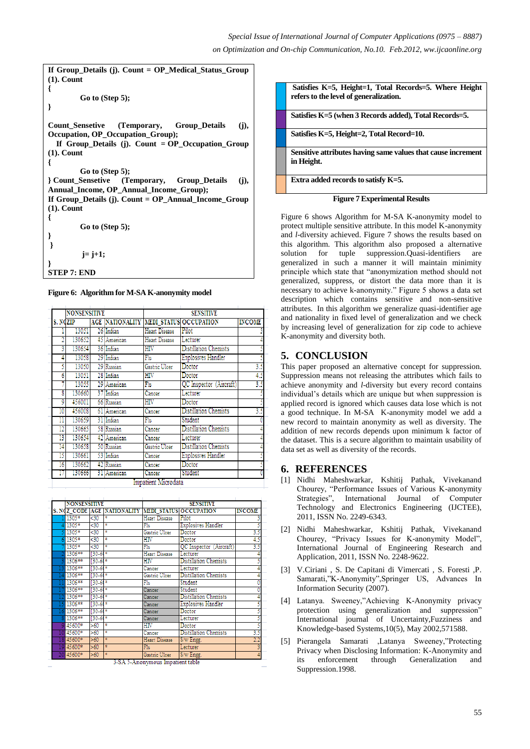```
If Group_Details (j). Count = OP_Medical_Status_Group 
(1). Count
{
        Go to (Step 5);
}
Count_Sensetive (Temporary, Group_Details (j), 
Occupation, OP_Occupation_Group);
   If Group_Details (j). Count = OP_Occupation_Group 
(1). Count
{
        Go to (Step 5);
} Count_Sensetive (Temporary, Group_Details (j), 
Annual_Income, OP_Annual_Income_Group);
If Group_Details (j). Count = OP_Annual_Income_Group 
(1). Count
{
        Go to (Step 5);
}
}
         j= j+1;
}
STEP 7: END
```
**Figure 6: Algorithm for M-SA K-anonymity model**

| <b>NONSENSITIVE</b> |          |  |                        | <b>SENSITIVE</b> |                               |               |
|---------------------|----------|--|------------------------|------------------|-------------------------------|---------------|
|                     | S. NOZIP |  | <b>AGE NATIONALITY</b> |                  | <b>MEDI STATUS OCCUPATION</b> | <b>INCOME</b> |
|                     | 13051    |  | 26 Indian              | Heart Disease    | Pilot                         |               |
|                     | 130652   |  | 45 American            | Heart Disease    | Lecturer                      |               |
| 3                   | 130654   |  | 36 Indian              | HIV              | <b>Distillation Chemists</b>  |               |
| 4                   | 13058    |  | 29 Indian              | F1u              | <b>Explosives Handler</b>     |               |
|                     | 13050    |  | 29 Russian             | Gastrie Uleer    | Doctor                        | 3.5           |
| 6                   | 13051    |  | 28 Indian              | HIV              | Doctor                        | 4.5           |
|                     | 13055    |  | 29 American            | Fh               | QC Inspector (Aircraft)       | 3.5           |
| 8                   | 130660   |  | 37 Indian              | Cancer           | Lecturer                      |               |
| 9                   | 456001   |  | 66 Russian             | HIV              | Doctor                        |               |
| 10                  | 456008   |  | 61 American            | Cancer           | <b>Distillation Chemists</b>  | 3.5           |
|                     | 130659   |  | 31 Indian              | Flu              | Student                       |               |
| 12                  | 130665   |  | 58 Russian             | Cancer           | <b>Distillation Chemists</b>  |               |
| 13                  | 130654   |  | 42 American            | Cancer           | Lecturer                      |               |
| 14                  | 130658   |  | 50 Russian             | Gastrie Uleer    | <b>Distillation Chemists</b>  |               |
| 15                  | 130661   |  | 53 Indian              | Cancer           | <b>Explosives Handler</b>     |               |
| 16                  | 130662   |  | 42 Russian             | Cancer           | Doctor                        |               |
|                     | 130666   |  | 31 American            | Cancer           | Student                       |               |

|   | <b>NONSENSITIVE</b> |                      |                    |               | <b>SENSITIVE</b>             |               |
|---|---------------------|----------------------|--------------------|---------------|------------------------------|---------------|
|   | S. NOZ CODE AGE     |                      | <b>NATIONALITY</b> |               | MEDI STATUS OCCUPATION       | <b>INCOME</b> |
|   | 1305*               | $30$                 | ×                  | Heart Disease | Pilot                        |               |
|   | 1305*               | $30$                 | ×                  | F1u           | Explosives Handler           |               |
|   | $5 1305*$           | $30$                 | ×                  | Gastrie Uleer | Doctor                       | 3.5           |
|   | $6 1305*$           | ⊲0                   | ×                  | HIV           | Doctor                       | 4.5           |
|   | 1305*               | $_{30}$              | s                  | F1u           | QC Inspector (Aircraft)      | 3.5           |
|   | 1306**              | $[30 - 60]$          | ×                  | Heart Disease | Lecturer                     |               |
|   | 1306**              | $130 - 61*$          |                    | $_{\rm HIV}$  | <b>Distillation Chemists</b> |               |
|   | 1306**              | $130.61*$            |                    | Cancer        | Lecturer                     |               |
|   | 1306**              | $130.60*$            |                    | Gastrie Uleer | <b>Distillation Chemists</b> |               |
|   | 1306**              | $130.61*$            |                    | Flu           | Student                      |               |
|   | 1306**              | $130.61*$            |                    | Cancer        | Student                      |               |
|   | 1306**              | $130.6$ <sup>*</sup> |                    | Cancer        | Distillation Chemists        |               |
|   | 1306**              | $130 - 61*$          |                    | Cancer        | <b>Explosives Handler</b>    |               |
|   | 1306**              | 130-60               | $\mathbf{\ast}$    | Cancer        | Doctor                       |               |
| R | 1306**              | $[30 - 60]$          | ×                  | Cancer        | Lecturer                     |               |
|   | 45600*              | >60                  | ×                  | HIV           | Doctor                       |               |
|   | 45600*              | >60                  | ×                  | Cancer        | <b>Distillation Chemists</b> | 3.5           |
|   | 45600*              | >60                  | $\overline{\ast}$  | Heart Disease | S/w Engg.                    | $_{2.2}$      |
|   | 45600*              | >60                  | s                  | F1u           | Lecturer                     |               |
|   | 45600*              | >60                  | ż                  | Gastric Ulcer | S/w Engg.                    |               |

3-SA 5-Anonymous Impatient table



**Figure 7 Experimental Results**

Figure 6 shows Algorithm for M-SA K-anonymity model to protect multiple sensitive attribute. In this model K-anonymity and *l*-diversity achieved. Figure 7 shows the results based on this algorithm. This algorithm also proposed a alternative solution for tuple suppression.Quasi-identifiers are generalized in such a manner it will maintain minimity principle which state that "anonymization method should not generalized, suppress, or distort the data more than it is necessary to achieve k-anonymity." Figure 5 shows a data set description which contains sensitive and non-sensitive attributes. In this algorithm we generalize quasi-identifier age and nationality in fixed level of generalization and we check by increasing level of generalization for zip code to achieve K-anonymity and diversity both.

# **5. CONCLUSION**

This paper proposed an alternative concept for suppression. Suppression means not releasing the attributes which fails to achieve anonymity and *l*-diversity but every record contains individual"s details which are unique but when suppression is applied record is ignored which causes data lose which is not a good technique. In M-SA K-anonymity model we add a new record to maintain anonymity as well as diversity. The addition of new records depends upon minimum k factor of the dataset. This is a secure algorithm to maintain usability of data set as well as diversity of the records.

#### **6. REFERENCES**

- [1] Nidhi Maheshwarkar, Kshitij Pathak, Vivekanand Chourey, "Performance Issues of Various K-anonymity Strategies", International Journal of Computer Technology and Electronics Engineering (IJCTEE), 2011, ISSN No. 2249-6343.
- [2] Nidhi Maheshwarkar, Kshitij Pathak, Vivekanand Chourey, "Privacy Issues for K-anonymity Model", International Journal of Engineering Research and Application, 2011, ISSN No. 2248-9622.
- [3] V.Ciriani , S. De Capitani di Vimercati , S. Foresti ,P. Samarati,"K-Anonymity",Springer US, Advances In Information Security (2007).
- [4] Latanya. Sweeney,"Achieving K-Anonymity privacy protection using generalization and suppression" International journal of Uncertainty,Fuzziness and Knowledge-based Systems,10(5), May 2002,571588.
- [5] Pierangela Samarati ,Latanya Sweeney,"Protecting Privacy when Disclosing Information: K-Anonymity and its enforcement through Generalization and Suppression.1998.